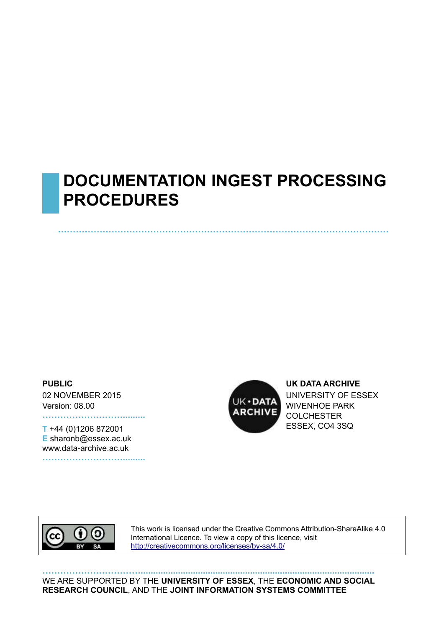# **DOCUMENTATION INGEST PROCESSING PROCEDURES**

**…………………………………………………………………………………………………**

**PUBLIC**

02 NOVEMBER 2015 Version: 08.00

**T** +44 (0)1206 872001 **E** sharonb@essex.ac.uk www.data-archive.ac.uk **……………………….........**

**……………………….........**



**UK DATA ARCHIVE** UNIVERSITY OF ESSEX WIVENHOE PARK **COLCHESTER** ESSEX, CO4 3SQ



This work is licensed under the Creative Commons Attribution-ShareAlike 4.0 International Licence. To view a copy of this licence, visit <http://creativecommons.org/licenses/by-sa/4.0/>

**……………………………..............................................................................................** WE ARE SUPPORTED BY THE **UNIVERSITY OF ESSEX**, THE **ECONOMIC AND SOCIAL RESEARCH COUNCIL**, AND THE **JOINT INFORMATION SYSTEMS COMMITTEE**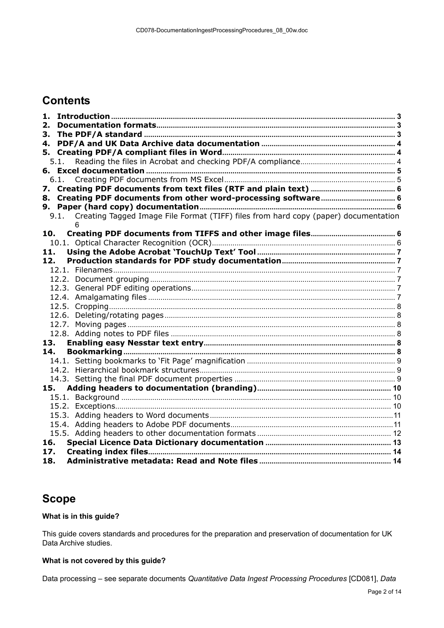# **Contents**

| 1.                                                                                       |  |
|------------------------------------------------------------------------------------------|--|
| 2.                                                                                       |  |
| З.                                                                                       |  |
| 4.                                                                                       |  |
|                                                                                          |  |
| 5.1.                                                                                     |  |
| 6.                                                                                       |  |
| 6.1.                                                                                     |  |
| 7.                                                                                       |  |
|                                                                                          |  |
|                                                                                          |  |
| 9.1. Creating Tagged Image File Format (TIFF) files from hard copy (paper) documentation |  |
|                                                                                          |  |
| 10.                                                                                      |  |
|                                                                                          |  |
| 11.                                                                                      |  |
| 12.                                                                                      |  |
|                                                                                          |  |
|                                                                                          |  |
|                                                                                          |  |
|                                                                                          |  |
|                                                                                          |  |
|                                                                                          |  |
|                                                                                          |  |
|                                                                                          |  |
| 13.                                                                                      |  |
| 14.                                                                                      |  |
|                                                                                          |  |
|                                                                                          |  |
|                                                                                          |  |
| 15.                                                                                      |  |
|                                                                                          |  |
|                                                                                          |  |
|                                                                                          |  |
|                                                                                          |  |
| 16.                                                                                      |  |
| 17.                                                                                      |  |
| 18.                                                                                      |  |
|                                                                                          |  |

#### **Scope**

#### **What is in this guide?**

This guide covers standards and procedures for the preparation and preservation of documentation for UK Data Archive studies.

#### **What is not covered by this guide?**

Data processing – see separate documents *Quantitative Data Ingest Processing Procedures* [CD081], *Data*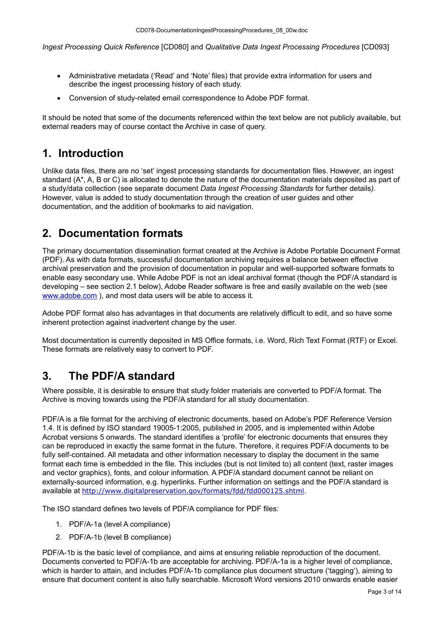*Ingest Processing Quick Reference* [CD080] and *Qualitative Data Ingest Processing Procedures* [CD093]

- Administrative metadata ('Read' and 'Note' files) that provide extra information for users and describe the ingest processing history of each study.
- Conversion of study-related email correspondence to Adobe PDF format.

It should be noted that some of the documents referenced within the text below are not publicly available, but external readers may of course contact the Archive in case of query.

# <span id="page-2-0"></span>**1. Introduction**

Unlike data files, there are no 'set' ingest processing standards for documentation files. However, an ingest standard (A\*, A, B or C) is allocated to denote the nature of the documentation materials deposited as part of a study/data collection (see separate document *Data Ingest Processing Standards* for further details*).*  However, value is added to study documentation through the creation of user guides and other documentation, and the addition of bookmarks to aid navigation.

# <span id="page-2-1"></span>**2. Documentation formats**

The primary documentation dissemination format created at the Archive is Adobe Portable Document Format (PDF). As with data formats, successful documentation archiving requires a balance between effective archival preservation and the provision of documentation in popular and well-supported software formats to enable easy secondary use. While Adobe PDF is not an ideal archival format (though the PDF/A standard is developing – see section 2.1 below), Adobe Reader software is free and easily available on the web (see [www.adobe.com](http://www.adobe.com/) ), and most data users will be able to access it.

Adobe PDF format also has advantages in that documents are relatively difficult to edit, and so have some inherent protection against inadvertent change by the user.

Most documentation is currently deposited in MS Office formats, i.e. Word, Rich Text Format (RTF) or Excel. These formats are relatively easy to convert to PDF.

# <span id="page-2-2"></span>**3. The PDF/A standard**

Where possible, it is desirable to ensure that study folder materials are converted to PDF/A format. The Archive is moving towards using the PDF/A standard for all study documentation.

PDF/A is a file format for the archiving of electronic documents, based on Adobe's PDF Reference Version 1.4. It is defined by ISO standard 19005-1:2005, published in 2005, and is implemented within Adobe Acrobat versions 5 onwards. The standard identifies a 'profile' for electronic documents that ensures they can be reproduced in exactly the same format in the future. Therefore, it requires PDF/A documents to be fully self-contained. All metadata and other information necessary to display the document in the same format each time is embedded in the file. This includes (but is not limited to) all content (text, raster images and vector graphics), fonts, and colour information. A PDF/A standard document cannot be reliant on externally-sourced information, e.g. hyperlinks. Further information on settings and the PDF/A standard is available at <http://www.digitalpreservation.gov/formats/fdd/fdd000125.shtml>.

The ISO standard defines two levels of PDF/A compliance for PDF files:

- 1. PDF/A-1a (level A compliance)
- 2. PDF/A-1b (level B compliance)

PDF/A-1b is the basic level of compliance, and aims at ensuring reliable reproduction of the document. Documents converted to PDF/A-1b are acceptable for archiving. PDF/A-1a is a higher level of compliance, which is harder to attain, and includes PDF/A-1b compliance plus document structure ('tagging'), aiming to ensure that document content is also fully searchable. Microsoft Word versions 2010 onwards enable easier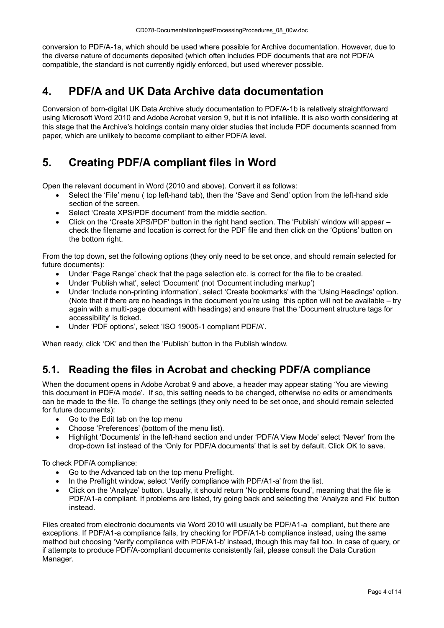conversion to PDF/A-1a, which should be used where possible for Archive documentation. However, due to the diverse nature of documents deposited (which often includes PDF documents that are not PDF/A compatible, the standard is not currently rigidly enforced, but used wherever possible.

# <span id="page-3-0"></span>**4. PDF/A and UK Data Archive data documentation**

Conversion of born-digital UK Data Archive study documentation to PDF/A-1b is relatively straightforward using Microsoft Word 2010 and Adobe Acrobat version 9, but it is not infallible. It is also worth considering at this stage that the Archive's holdings contain many older studies that include PDF documents scanned from paper, which are unlikely to become compliant to either PDF/A level.

# <span id="page-3-1"></span>**5. Creating PDF/A compliant files in Word**

Open the relevant document in Word (2010 and above). Convert it as follows:

- Select the 'File' menu ( top left-hand tab), then the 'Save and Send' option from the left-hand side section of the screen.
- Select 'Create XPS/PDF document' from the middle section.
- Click on the 'Create XPS/PDF' button in the right hand section. The 'Publish' window will appear check the filename and location is correct for the PDF file and then click on the 'Options' button on the bottom right.

From the top down, set the following options (they only need to be set once, and should remain selected for future documents):

- Under 'Page Range' check that the page selection etc. is correct for the file to be created.
- Under 'Publish what', select 'Document' (not 'Document including markup')
- Under 'Include non-printing information', select 'Create bookmarks' with the 'Using Headings' option. (Note that if there are no headings in the document you're using this option will not be available – try again with a multi-page document with headings) and ensure that the 'Document structure tags for accessibility' is ticked.
- Under 'PDF options', select 'ISO 19005-1 compliant PDF/A'.

When ready, click 'OK' and then the 'Publish' button in the Publish window.

### <span id="page-3-2"></span>**5.1. Reading the files in Acrobat and checking PDF/A compliance**

When the document opens in Adobe Acrobat 9 and above, a header may appear stating 'You are viewing this document in PDF/A mode'. If so, this setting needs to be changed, otherwise no edits or amendments can be made to the file. To change the settings (they only need to be set once, and should remain selected for future documents):

- Go to the Edit tab on the top menu
- Choose 'Preferences' (bottom of the menu list).
- Highlight 'Documents' in the left-hand section and under 'PDF/A View Mode' select 'Never' from the drop-down list instead of the 'Only for PDF/A documents' that is set by default. Click OK to save.

To check PDF/A compliance:

- Go to the Advanced tab on the top menu Preflight.
- In the Preflight window, select 'Verify compliance with PDF/A1-a' from the list.
- Click on the 'Analyze' button. Usually, it should return 'No problems found', meaning that the file is PDF/A1-a compliant. If problems are listed, try going back and selecting the 'Analyze and Fix' button instead.

Files created from electronic documents via Word 2010 will usually be PDF/A1-a compliant, but there are exceptions. If PDF/A1-a compliance fails, try checking for PDF/A1-b compliance instead, using the same method but choosing 'Verify compliance with PDF/A1-b' instead, though this may fail too. In case of query, or if attempts to produce PDF/A-compliant documents consistently fail, please consult the Data Curation Manager.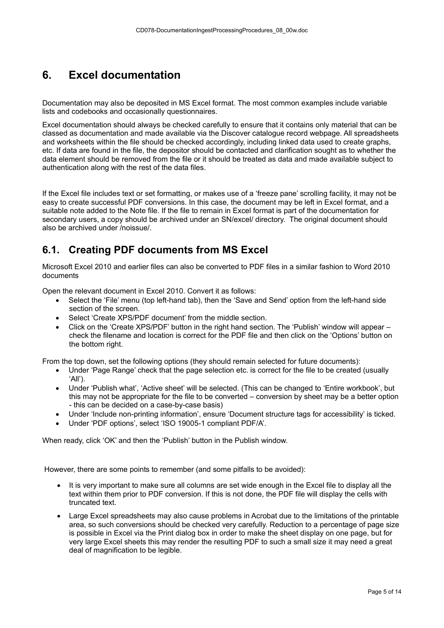# <span id="page-4-0"></span>**6. Excel documentation**

Documentation may also be deposited in MS Excel format. The most common examples include variable lists and codebooks and occasionally questionnaires.

Excel documentation should always be checked carefully to ensure that it contains only material that can be classed as documentation and made available via the Discover catalogue record webpage. All spreadsheets and worksheets within the file should be checked accordingly, including linked data used to create graphs, etc. If data are found in the file, the depositor should be contacted and clarification sought as to whether the data element should be removed from the file or it should be treated as data and made available subject to authentication along with the rest of the data files.

If the Excel file includes text or set formatting, or makes use of a 'freeze pane' scrolling facility, it may not be easy to create successful PDF conversions. In this case, the document may be left in Excel format, and a suitable note added to the Note file. If the file to remain in Excel format is part of the documentation for secondary users, a copy should be archived under an SN/excel/ directory. The original document should also be archived under /noissue/.

### <span id="page-4-1"></span>**6.1. Creating PDF documents from MS Excel**

Microsoft Excel 2010 and earlier files can also be converted to PDF files in a similar fashion to Word 2010 documents

Open the relevant document in Excel 2010. Convert it as follows:

- Select the 'File' menu (top left-hand tab), then the 'Save and Send' option from the left-hand side section of the screen.
- Select 'Create XPS/PDF document' from the middle section.
- Click on the 'Create XPS/PDF' button in the right hand section. The 'Publish' window will appear check the filename and location is correct for the PDF file and then click on the 'Options' button on the bottom right.

From the top down, set the following options (they should remain selected for future documents):

- Under 'Page Range' check that the page selection etc. is correct for the file to be created (usually 'All').
- Under 'Publish what', 'Active sheet' will be selected. (This can be changed to 'Entire workbook', but this may not be appropriate for the file to be converted – conversion by sheet may be a better option - this can be decided on a case-by-case basis)
- Under 'Include non-printing information', ensure 'Document structure tags for accessibility' is ticked.
- Under 'PDF options', select 'ISO 19005-1 compliant PDF/A'.

When ready, click 'OK' and then the 'Publish' button in the Publish window.

However, there are some points to remember (and some pitfalls to be avoided):

- It is very important to make sure all columns are set wide enough in the Excel file to display all the text within them prior to PDF conversion. If this is not done, the PDF file will display the cells with truncated text.
- Large Excel spreadsheets may also cause problems in Acrobat due to the limitations of the printable area, so such conversions should be checked very carefully. Reduction to a percentage of page size is possible in Excel via the Print dialog box in order to make the sheet display on one page, but for very large Excel sheets this may render the resulting PDF to such a small size it may need a great deal of magnification to be legible.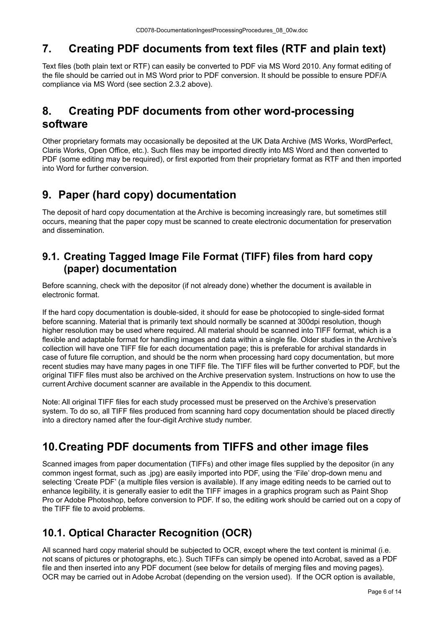# <span id="page-5-0"></span>**7. Creating PDF documents from text files (RTF and plain text)**

Text files (both plain text or RTF) can easily be converted to PDF via MS Word 2010. Any format editing of the file should be carried out in MS Word prior to PDF conversion. It should be possible to ensure PDF/A compliance via MS Word (see section 2.3.2 above).

# <span id="page-5-1"></span>**8. Creating PDF documents from other word-processing software**

Other proprietary formats may occasionally be deposited at the UK Data Archive (MS Works, WordPerfect, Claris Works, Open Office, etc.). Such files may be imported directly into MS Word and then converted to PDF (some editing may be required), or first exported from their proprietary format as RTF and then imported into Word for further conversion.

# <span id="page-5-2"></span>**9. Paper (hard copy) documentation**

The deposit of hard copy documentation at the Archive is becoming increasingly rare, but sometimes still occurs, meaning that the paper copy must be scanned to create electronic documentation for preservation and dissemination.

### <span id="page-5-3"></span>**9.1. Creating Tagged Image File Format (TIFF) files from hard copy (paper) documentation**

Before scanning, check with the depositor (if not already done) whether the document is available in electronic format.

If the hard copy documentation is double-sided, it should for ease be photocopied to single-sided format before scanning. Material that is primarily text should normally be scanned at 300dpi resolution, though higher resolution may be used where required. All material should be scanned into TIFF format, which is a flexible and adaptable format for handling images and data within a single file. Older studies in the Archive's collection will have one TIFF file for each documentation page; this is preferable for archival standards in case of future file corruption, and should be the norm when processing hard copy documentation, but more recent studies may have many pages in one TIFF file. The TIFF files will be further converted to PDF, but the original TIFF files must also be archived on the Archive preservation system. Instructions on how to use the current Archive document scanner are available in the Appendix to this document.

Note: All original TIFF files for each study processed must be preserved on the Archive's preservation system. To do so, all TIFF files produced from scanning hard copy documentation should be placed directly into a directory named after the four-digit Archive study number.

# <span id="page-5-4"></span>**10.Creating PDF documents from TIFFS and other image files**

Scanned images from paper documentation (TIFFs) and other image files supplied by the depositor (in any common ingest format, such as .jpg) are easily imported into PDF, using the 'File' drop-down menu and selecting 'Create PDF' (a multiple files version is available). If any image editing needs to be carried out to enhance legibility, it is generally easier to edit the TIFF images in a graphics program such as Paint Shop Pro or Adobe Photoshop, before conversion to PDF. If so, the editing work should be carried out on a copy of the TIFF file to avoid problems.

# <span id="page-5-5"></span>**10.1. Optical Character Recognition (OCR)**

All scanned hard copy material should be subjected to OCR, except where the text content is minimal (i.e. not scans of pictures or photographs, etc.). Such TIFFs can simply be opened into Acrobat, saved as a PDF file and then inserted into any PDF document (see below for details of merging files and moving pages). OCR may be carried out in Adobe Acrobat (depending on the version used). If the OCR option is available,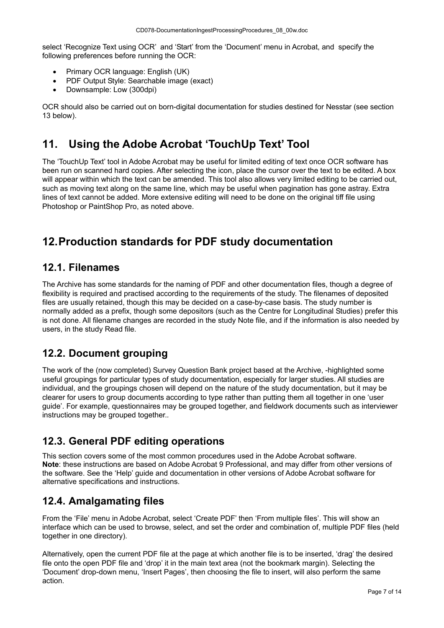select 'Recognize Text using OCR' and 'Start' from the 'Document' menu in Acrobat, and specify the following preferences before running the OCR:

- Primary OCR language: English (UK)
- PDF Output Style: Searchable image (exact)
- Downsample: Low (300dpi)

OCR should also be carried out on born-digital documentation for studies destined for Nesstar (see section 13 below).

# <span id="page-6-0"></span>**11. Using the Adobe Acrobat 'TouchUp Text' Tool**

The 'TouchUp Text' tool in Adobe Acrobat may be useful for limited editing of text once OCR software has been run on scanned hard copies. After selecting the icon, place the cursor over the text to be edited. A box will appear within which the text can be amended. This tool also allows very limited editing to be carried out, such as moving text along on the same line, which may be useful when pagination has gone astray. Extra lines of text cannot be added. More extensive editing will need to be done on the original tiff file using Photoshop or PaintShop Pro, as noted above.

# <span id="page-6-1"></span>**12.Production standards for PDF study documentation**

#### <span id="page-6-2"></span>**12.1. Filenames**

The Archive has some standards for the naming of PDF and other documentation files, though a degree of flexibility is required and practised according to the requirements of the study. The filenames of deposited files are usually retained, though this may be decided on a case-by-case basis. The study number is normally added as a prefix, though some depositors (such as the Centre for Longitudinal Studies) prefer this is not done. All filename changes are recorded in the study Note file, and if the information is also needed by users, in the study Read file.

### <span id="page-6-3"></span>**12.2. Document grouping**

The work of the (now completed) Survey Question Bank project based at the Archive, -highlighted some useful groupings for particular types of study documentation, especially for larger studies. All studies are individual, and the groupings chosen will depend on the nature of the study documentation, but it may be clearer for users to group documents according to type rather than putting them all together in one 'user guide'. For example, questionnaires may be grouped together, and fieldwork documents such as interviewer instructions may be grouped together.*.*

### <span id="page-6-4"></span>**12.3. General PDF editing operations**

This section covers some of the most common procedures used in the Adobe Acrobat software. **Note**: these instructions are based on Adobe Acrobat 9 Professional, and may differ from other versions of the software. See the 'Help' guide and documentation in other versions of Adobe Acrobat software for alternative specifications and instructions.

### <span id="page-6-5"></span>**12.4. Amalgamating files**

From the 'File' menu in Adobe Acrobat, select 'Create PDF' then 'From multiple files'. This will show an interface which can be used to browse, select, and set the order and combination of, multiple PDF files (held together in one directory).

Alternatively, open the current PDF file at the page at which another file is to be inserted, 'drag' the desired file onto the open PDF file and 'drop' it in the main text area (not the bookmark margin). Selecting the 'Document' drop-down menu, 'Insert Pages', then choosing the file to insert, will also perform the same action.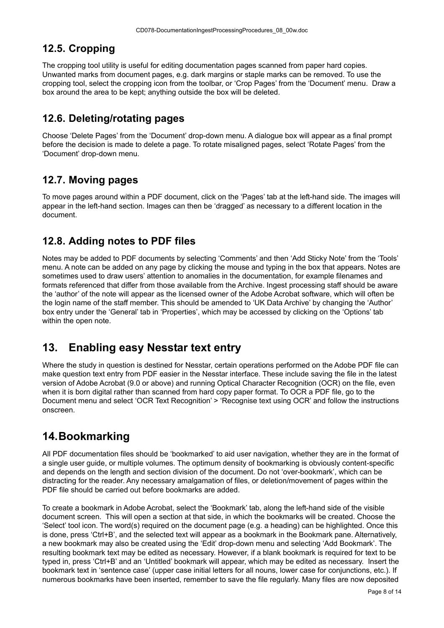#### <span id="page-7-0"></span>**12.5. Cropping**

The cropping tool utility is useful for editing documentation pages scanned from paper hard copies. Unwanted marks from document pages, e.g. dark margins or staple marks can be removed. To use the cropping tool, select the cropping icon from the toolbar, or 'Crop Pages' from the 'Document' menu. Draw a box around the area to be kept; anything outside the box will be deleted.

### <span id="page-7-1"></span>**12.6. Deleting/rotating pages**

Choose 'Delete Pages' from the 'Document' drop-down menu. A dialogue box will appear as a final prompt before the decision is made to delete a page. To rotate misaligned pages, select 'Rotate Pages' from the 'Document' drop-down menu.

### <span id="page-7-2"></span>**12.7. Moving pages**

To move pages around within a PDF document, click on the 'Pages' tab at the left-hand side. The images will appear in the left-hand section. Images can then be 'dragged' as necessary to a different location in the document.

#### <span id="page-7-3"></span>**12.8. Adding notes to PDF files**

Notes may be added to PDF documents by selecting 'Comments' and then 'Add Sticky Note' from the 'Tools' menu. A note can be added on any page by clicking the mouse and typing in the box that appears. Notes are sometimes used to draw users' attention to anomalies in the documentation, for example filenames and formats referenced that differ from those available from the Archive. Ingest processing staff should be aware the 'author' of the note will appear as the licensed owner of the Adobe Acrobat software, which will often be the login name of the staff member. This should be amended to 'UK Data Archive' by changing the 'Author' box entry under the 'General' tab in 'Properties', which may be accessed by clicking on the 'Options' tab within the open note.

# <span id="page-7-4"></span>**13. Enabling easy Nesstar text entry**

Where the study in question is destined for Nesstar, certain operations performed on the Adobe PDF file can make question text entry from PDF easier in the Nesstar interface. These include saving the file in the latest version of Adobe Acrobat (9.0 or above) and running Optical Character Recognition (OCR) on the file, even when it is born digital rather than scanned from hard copy paper format. To OCR a PDF file, go to the Document menu and select 'OCR Text Recognition' > 'Recognise text using OCR' and follow the instructions onscreen.

# <span id="page-7-5"></span>**14.Bookmarking**

All PDF documentation files should be 'bookmarked' to aid user navigation, whether they are in the format of a single user guide, or multiple volumes. The optimum density of bookmarking is obviously content-specific and depends on the length and section division of the document. Do not 'over-bookmark', which can be distracting for the reader. Any necessary amalgamation of files, or deletion/movement of pages within the PDF file should be carried out before bookmarks are added.

To create a bookmark in Adobe Acrobat, select the 'Bookmark' tab, along the left-hand side of the visible document screen. This will open a section at that side, in which the bookmarks will be created. Choose the 'Select' tool icon. The word(s) required on the document page (e.g. a heading) can be highlighted. Once this is done, press 'Ctrl+B', and the selected text will appear as a bookmark in the Bookmark pane. Alternatively, a new bookmark may also be created using the 'Edit' drop-down menu and selecting 'Add Bookmark'. The resulting bookmark text may be edited as necessary. However, if a blank bookmark is required for text to be typed in, press 'Ctrl+B' and an 'Untitled' bookmark will appear, which may be edited as necessary. Insert the bookmark text in 'sentence case' (upper case initial letters for all nouns, lower case for conjunctions, etc.). If numerous bookmarks have been inserted, remember to save the file regularly. Many files are now deposited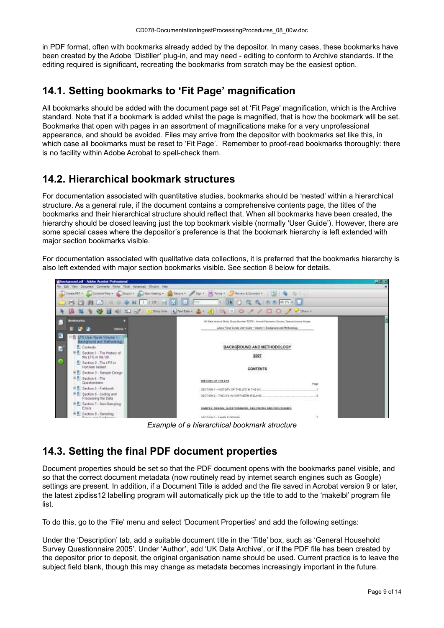in PDF format, often with bookmarks already added by the depositor. In many cases, these bookmarks have been created by the Adobe 'Distiller' plug-in, and may need - editing to conform to Archive standards. If the editing required is significant, recreating the bookmarks from scratch may be the easiest option.

# <span id="page-8-0"></span>**14.1. Setting bookmarks to 'Fit Page' magnification**

All bookmarks should be added with the document page set at 'Fit Page' magnification, which is the Archive standard. Note that if a bookmark is added whilst the page is magnified, that is how the bookmark will be set. Bookmarks that open with pages in an assortment of magnifications make for a very unprofessional appearance, and should be avoided. Files may arrive from the depositor with bookmarks set like this, in which case all bookmarks must be reset to 'Fit Page'. Remember to proof-read bookmarks thoroughly: there is no facility within Adobe Acrobat to spell-check them.

### <span id="page-8-1"></span>**14.2. Hierarchical bookmark structures**

For documentation associated with quantitative studies, bookmarks should be 'nested' within a hierarchical structure. As a general rule, if the document contains a comprehensive contents page, the titles of the bookmarks and their hierarchical structure should reflect that. When all bookmarks have been created, the hierarchy should be closed leaving just the top bookmark visible (normally 'User Guide'). However, there are some special cases where the depositor's preference is that the bookmark hierarchy is left extended with major section bookmarks visible.

For documentation associated with qualitative data collections, it is preferred that the bookmarks hierarchy is also left extended with major section bookmarks visible. See section 8 below for details.



*Example of a hierarchical bookmark structure*

### <span id="page-8-2"></span>**14.3. Setting the final PDF document properties**

Document properties should be set so that the PDF document opens with the bookmarks panel visible, and so that the correct document metadata (now routinely read by internet search engines such as Google) settings are present. In addition, if a Document Title is added and the file saved in Acrobat version 9 or later, the latest zipdiss12 labelling program will automatically pick up the title to add to the 'makelbl' program file list.

To do this, go to the 'File' menu and select 'Document Properties' and add the following settings:

Under the 'Description' tab, add a suitable document title in the 'Title' box, such as 'General Household Survey Questionnaire 2005'. Under 'Author', add 'UK Data Archive', or if the PDF file has been created by the depositor prior to deposit, the original organisation name should be used. Current practice is to leave the subject field blank, though this may change as metadata becomes increasingly important in the future.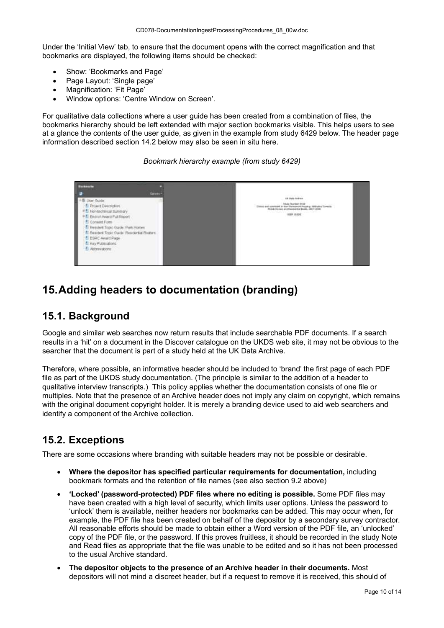Under the 'Initial View' tab, to ensure that the document opens with the correct magnification and that bookmarks are displayed, the following items should be checked:

- Show: 'Bookmarks and Page'
- Page Layout: 'Single page'
- Magnification: 'Fit Page'
- Window options: 'Centre Window on Screen'.

For qualitative data collections where a user guide has been created from a combination of files, the bookmarks hierarchy should be left extended with major section bookmarks visible. This helps users to see at a glance the contents of the user guide, as given in the example from study 6429 below. The header page information described section 14.2 below may also be seen in situ here.

*Bookmark hierarchy example (from study 6429)*



# <span id="page-9-0"></span>**15.Adding headers to documentation (branding)**

# <span id="page-9-1"></span>**15.1. Background**

Google and similar web searches now return results that include searchable PDF documents. If a search results in a 'hit' on a document in the Discover catalogue on the UKDS web site, it may not be obvious to the searcher that the document is part of a study held at the UK Data Archive.

Therefore, where possible, an informative header should be included to 'brand' the first page of each PDF file as part of the UKDS study documentation. (The principle is similar to the addition of a header to qualitative interview transcripts.) This policy applies whether the documentation consists of one file or multiples. Note that the presence of an Archive header does not imply any claim on copyright, which remains with the original document copyright holder. It is merely a branding device used to aid web searchers and identify a component of the Archive collection.

#### <span id="page-9-2"></span>**15.2. Exceptions**

There are some occasions where branding with suitable headers may not be possible or desirable.

- **Where the depositor has specified particular requirements for documentation,** including bookmark formats and the retention of file names (see also section 9.2 above)
- **'Locked' (password-protected) PDF files where no editing is possible.** Some PDF files may have been created with a high level of security, which limits user options. Unless the password to 'unlock' them is available, neither headers nor bookmarks can be added. This may occur when, for example, the PDF file has been created on behalf of the depositor by a secondary survey contractor. All reasonable efforts should be made to obtain either a Word version of the PDF file, an 'unlocked' copy of the PDF file, or the password. If this proves fruitless, it should be recorded in the study Note and Read files as appropriate that the file was unable to be edited and so it has not been processed to the usual Archive standard.
- **The depositor objects to the presence of an Archive header in their documents.** Most depositors will not mind a discreet header, but if a request to remove it is received, this should of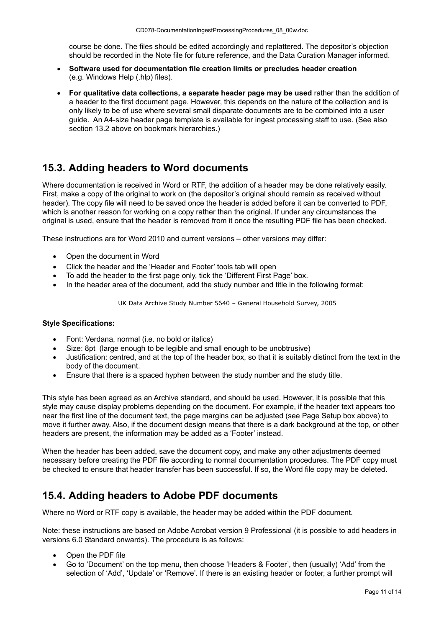course be done. The files should be edited accordingly and replattered. The depositor's objection should be recorded in the Note file for future reference, and the Data Curation Manager informed.

- **Software used for documentation file creation limits or precludes header creation** (e.g. Windows Help (.hlp) files).
- **For qualitative data collections, a separate header page may be used** rather than the addition of a header to the first document page. However, this depends on the nature of the collection and is only likely to be of use where several small disparate documents are to be combined into a user guide. An A4-size header page template is available for ingest processing staff to use. (See also section 13.2 above on bookmark hierarchies.)

#### <span id="page-10-0"></span>**15.3. Adding headers to Word documents**

Where documentation is received in Word or RTF, the addition of a header may be done relatively easily. First, make a copy of the original to work on (the depositor's original should remain as received without header). The copy file will need to be saved once the header is added before it can be converted to PDF, which is another reason for working on a copy rather than the original. If under any circumstances the original is used, ensure that the header is removed from it once the resulting PDF file has been checked.

These instructions are for Word 2010 and current versions – other versions may differ:

- Open the document in Word
- Click the header and the 'Header and Footer' tools tab will open
- To add the header to the first page only, tick the 'Different First Page' box.
- In the header area of the document, add the study number and title in the following format:

UK Data Archive Study Number 5640 – General Household Survey, 2005

#### **Style Specifications:**

- Font: Verdana, normal (i.e. no bold or italics)
- Size: 8pt (large enough to be legible and small enough to be unobtrusive)
- Justification: centred, and at the top of the header box, so that it is suitably distinct from the text in the body of the document.
- Ensure that there is a spaced hyphen between the study number and the study title.

This style has been agreed as an Archive standard, and should be used. However, it is possible that this style may cause display problems depending on the document. For example, if the header text appears too near the first line of the document text, the page margins can be adjusted (see Page Setup box above) to move it further away. Also, if the document design means that there is a dark background at the top, or other headers are present, the information may be added as a 'Footer' instead.

When the header has been added, save the document copy, and make any other adjustments deemed necessary before creating the PDF file according to normal documentation procedures. The PDF copy must be checked to ensure that header transfer has been successful. If so, the Word file copy may be deleted.

### <span id="page-10-1"></span>**15.4. Adding headers to Adobe PDF documents**

Where no Word or RTF copy is available, the header may be added within the PDF document.

Note: these instructions are based on Adobe Acrobat version 9 Professional (it is possible to add headers in versions 6.0 Standard onwards). The procedure is as follows:

- Open the PDF file
- Go to 'Document' on the top menu, then choose 'Headers & Footer', then (usually) 'Add' from the selection of 'Add', 'Update' or 'Remove'. If there is an existing header or footer, a further prompt will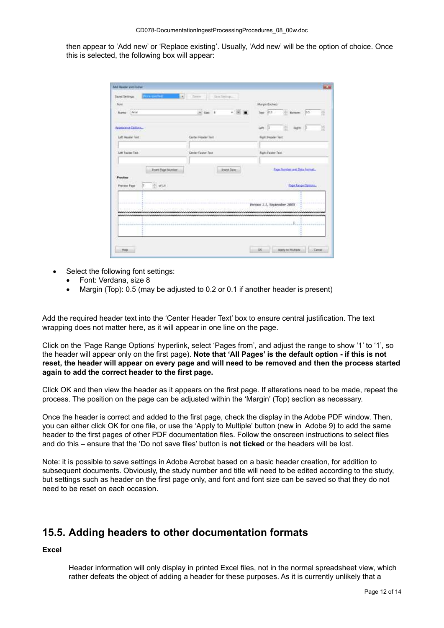then appear to 'Add new' or 'Replace existing'. Usually, 'Add new' will be the option of choice. Once this is selected, the following box will appear:

| <b>Rend</b><br>Name: Arial                                                 | $+3x + 1$<br>$\cdot$ $\frac{17}{16}$ = | Magin Brown<br>Time D.S.<br><b>Sottom</b><br><b>Jos</b><br>껿 |
|----------------------------------------------------------------------------|----------------------------------------|--------------------------------------------------------------|
| Appearance Dotlors<br><b>CONTRACTOR</b><br>Left Header Text                | Center Header Test                     | $Bap = 1$<br>뵢<br>im il<br><b>Want Freader Text</b>          |
| Left Fourer Text                                                           | Center Footer Text                     | <b>Right Footer Text</b>                                     |
| <b>Visert Ruge Number</b><br>Provinse<br>관 <i>해</i> 14<br>r<br>Frever Page | <b>Insert Date</b>                     | fugichlanten and Date Formatic<br>Page Tange Options         |
|                                                                            |                                        | Version 1.1, September 2005                                  |
| ALC: UN<br>--------                                                        |                                        | 1                                                            |

- Select the following font settings:
	- Font: Verdana, size 8
	- Margin (Top): 0.5 (may be adjusted to 0.2 or 0.1 if another header is present)

Add the required header text into the 'Center Header Text' box to ensure central justification. The text wrapping does not matter here, as it will appear in one line on the page.

Click on the 'Page Range Options' hyperlink, select 'Pages from', and adjust the range to show '1' to '1', so the header will appear only on the first page). **Note that 'All Pages' is the default option - if this is not reset, the header will appear on every page and will need to be removed and then the process started again to add the correct header to the first page.**

Click OK and then view the header as it appears on the first page. If alterations need to be made, repeat the process. The position on the page can be adjusted within the 'Margin' (Top) section as necessary.

Once the header is correct and added to the first page, check the display in the Adobe PDF window. Then, you can either click OK for one file, or use the 'Apply to Multiple' button (new in Adobe 9) to add the same header to the first pages of other PDF documentation files. Follow the onscreen instructions to select files and do this – ensure that the 'Do not save files' button is **not ticked** or the headers will be lost.

Note: it is possible to save settings in Adobe Acrobat based on a basic header creation, for addition to subsequent documents. Obviously, the study number and title will need to be edited according to the study, but settings such as header on the first page only, and font and font size can be saved so that they do not need to be reset on each occasion.

#### <span id="page-11-0"></span>**15.5. Adding headers to other documentation formats**

#### **Excel**

Header information will only display in printed Excel files, not in the normal spreadsheet view, which rather defeats the object of adding a header for these purposes. As it is currently unlikely that a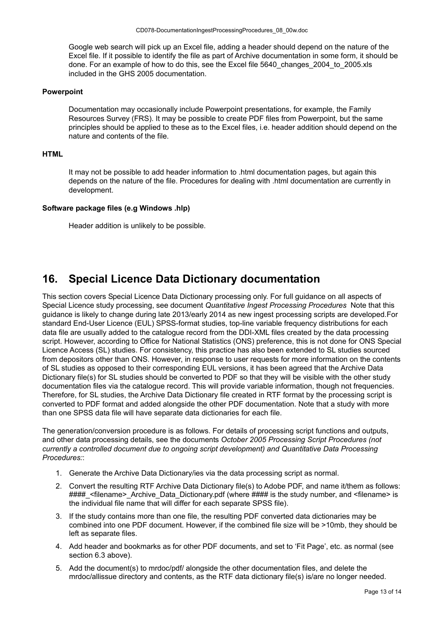Google web search will pick up an Excel file, adding a header should depend on the nature of the Excel file. If it possible to identify the file as part of Archive documentation in some form, it should be done. For an example of how to do this, see the Excel file 5640\_changes\_2004\_to\_2005.xls included in the GHS 2005 documentation.

#### **Powerpoint**

Documentation may occasionally include Powerpoint presentations, for example, the Family Resources Survey (FRS). It may be possible to create PDF files from Powerpoint, but the same principles should be applied to these as to the Excel files, i.e. header addition should depend on the nature and contents of the file.

#### **HTML**

It may not be possible to add header information to .html documentation pages, but again this depends on the nature of the file. Procedures for dealing with .html documentation are currently in development.

#### **Software package files (e.g Windows .hlp)**

Header addition is unlikely to be possible.

### <span id="page-12-0"></span>**16. Special Licence Data Dictionary documentation**

This section covers Special Licence Data Dictionary processing only. For full guidance on all aspects of Special Licence study processing, see document *Quantitative Ingest Processing Procedures* Note that this guidance is likely to change during late 2013/early 2014 as new ingest processing scripts are developed.For standard End-User Licence (EUL) SPSS-format studies, top-line variable frequency distributions for each data file are usually added to the catalogue record from the DDI-XML files created by the data processing script. However, according to Office for National Statistics (ONS) preference, this is not done for ONS Special Licence Access (SL) studies. For consistency, this practice has also been extended to SL studies sourced from depositors other than ONS. However, in response to user requests for more information on the contents of SL studies as opposed to their corresponding EUL versions, it has been agreed that the Archive Data Dictionary file(s) for SL studies should be converted to PDF so that they will be visible with the other study documentation files via the catalogue record. This will provide variable information, though not frequencies. Therefore, for SL studies, the Archive Data Dictionary file created in RTF format by the processing script is converted to PDF format and added alongside the other PDF documentation. Note that a study with more than one SPSS data file will have separate data dictionaries for each file.

The generation/conversion procedure is as follows. For details of processing script functions and outputs, and other data processing details, see the documents *October 2005 Processing Script Procedures (not currently a controlled document due to ongoing script development) and Quantitative Data Processing Procedures:*:

- 1. Generate the Archive Data Dictionary/ies via the data processing script as normal.
- 2. Convert the resulting RTF Archive Data Dictionary file(s) to Adobe PDF, and name it/them as follows: #### <filename> Archive Data Dictionary.pdf (where #### is the study number, and <filename> is the individual file name that will differ for each separate SPSS file).
- 3. If the study contains more than one file, the resulting PDF converted data dictionaries may be combined into one PDF document. However, if the combined file size will be >10mb, they should be left as separate files.
- 4. Add header and bookmarks as for other PDF documents, and set to 'Fit Page', etc. as normal (see section 6.3 above).
- 5. Add the document(s) to mrdoc/pdf/ alongside the other documentation files, and delete the mrdoc/allissue directory and contents, as the RTF data dictionary file(s) is/are no longer needed.